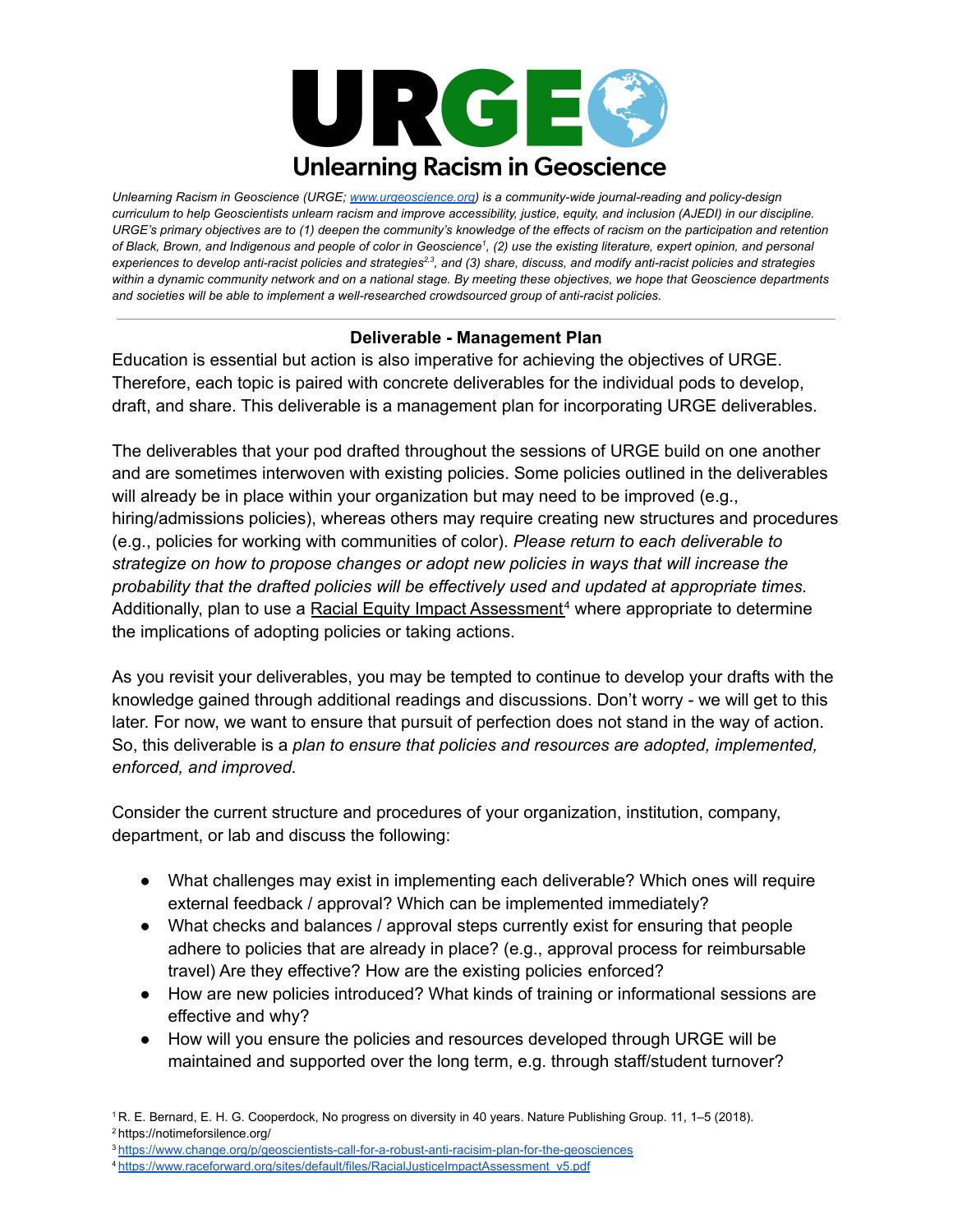

*Unlearning Racism in Geoscience (URGE; [www.urgeoscience.org](http://www.urgeoscience.org)) is a community-wide journal-reading and policy-design* curriculum to help Geoscientists unlearn racism and improve accessibility, justice, equity, and inclusion (AJEDI) in our discipline. URGE's primary objectives are to (1) deepen the community's knowledge of the effects of racism on the participation and retention of Black, Brown, and Indigenous and people of color in Geoscience<sup>1</sup>, (2) use the existing literature, expert opinion, and personal experiences to develop anti-racist policies and strategies<sup>2,3</sup>, and (3) share, discuss, and modify anti-racist policies and strategies within a dynamic community network and on a national stage. By meeting these objectives, we hope that Geoscience departments *and societies will be able to implement a well-researched crowdsourced group of anti-racist policies.*

## **Deliverable - Management Plan**

Education is essential but action is also imperative for achieving the objectives of URGE. Therefore, each topic is paired with concrete deliverables for the individual pods to develop, draft, and share. This deliverable is a management plan for incorporating URGE deliverables.

The deliverables that your pod drafted throughout the sessions of URGE build on one another and are sometimes interwoven with existing policies. Some policies outlined in the deliverables will already be in place within your organization but may need to be improved (e.g., hiring/admissions policies), whereas others may require creating new structures and procedures (e.g., policies for working with communities of color). *Please return to each deliverable to strategize on how to propose changes or adopt new policies in ways that will increase the probability that the drafted policies will be effectively used and updated at appropriate times.* Additionally, plan to use a Racial Equity Impact [Assessment](https://www.raceforward.org/sites/default/files/RacialJusticeImpactAssessment_v5.pdf)<sup>4</sup> where appropriate to determine the implications of adopting policies or taking actions.

As you revisit your deliverables, you may be tempted to continue to develop your drafts with the knowledge gained through additional readings and discussions. Don't worry - we will get to this later. For now, we want to ensure that pursuit of perfection does not stand in the way of action. So, this deliverable is a *plan to ensure that policies and resources are adopted, implemented, enforced, and improved.*

Consider the current structure and procedures of your organization, institution, company, department, or lab and discuss the following:

- What challenges may exist in implementing each deliverable? Which ones will require external feedback / approval? Which can be implemented immediately?
- What checks and balances / approval steps currently exist for ensuring that people adhere to policies that are already in place? (e.g., approval process for reimbursable travel) Are they effective? How are the existing policies enforced?
- How are new policies introduced? What kinds of training or informational sessions are effective and why?
- How will you ensure the policies and resources developed through URGE will be maintained and supported over the long term, e.g. through staff/student turnover?

<sup>1</sup> R. E. Bernard, E. H. G. Cooperdock, No progress on diversity in 40 years. Nature Publishing Group. 11, 1–5 (2018). <sup>2</sup> https://notimeforsilence.org/

<sup>3</sup> <https://www.change.org/p/geoscientists-call-for-a-robust-anti-racisim-plan-for-the-geosciences>

<sup>4</sup> https://www.raceforward.org/sites/default/files/RacialJusticeImpactAssessment\_v5.pdf